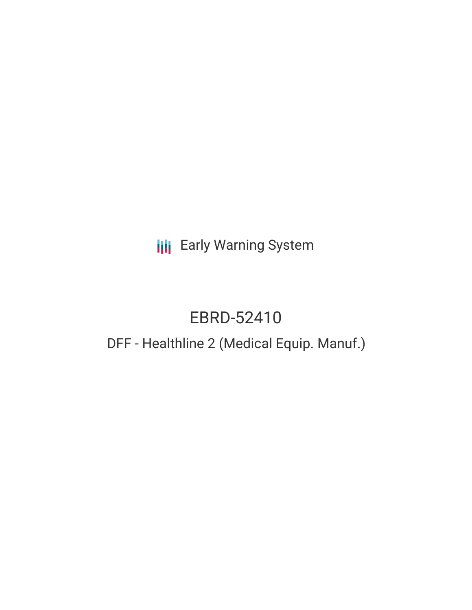# **III** Early Warning System

# EBRD-52410

# DFF - Healthline 2 (Medical Equip. Manuf.)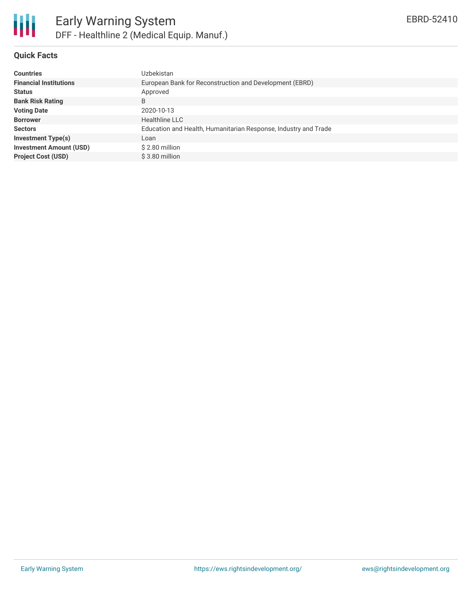

## **Quick Facts**

| <b>Countries</b>               | Uzbekistan                                                      |
|--------------------------------|-----------------------------------------------------------------|
| <b>Financial Institutions</b>  | European Bank for Reconstruction and Development (EBRD)         |
| <b>Status</b>                  | Approved                                                        |
| <b>Bank Risk Rating</b>        | B                                                               |
| <b>Voting Date</b>             | 2020-10-13                                                      |
| <b>Borrower</b>                | <b>Healthline LLC</b>                                           |
| <b>Sectors</b>                 | Education and Health, Humanitarian Response, Industry and Trade |
| Investment Type(s)             | Loan                                                            |
| <b>Investment Amount (USD)</b> | $$2.80$ million                                                 |
| <b>Project Cost (USD)</b>      | \$3.80 million                                                  |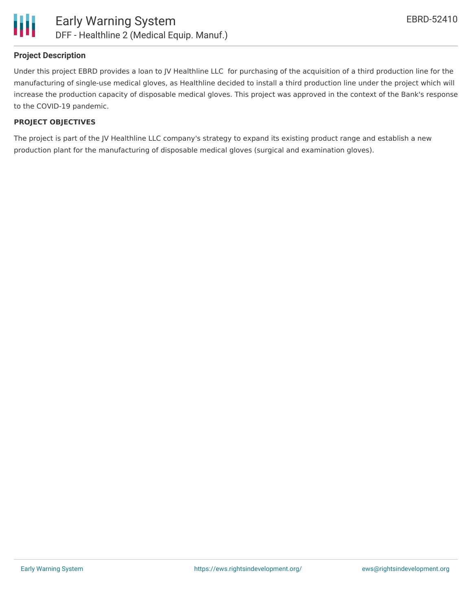

### **Project Description**

Under this project EBRD provides a loan to JV Healthline LLC for purchasing of the acquisition of a third production line for the manufacturing of single-use medical gloves, as Healthline decided to install a third production line under the project which will increase the production capacity of disposable medical gloves. This project was approved in the context of the Bank's response to the COVID-19 pandemic.

#### **PROJECT OBJECTIVES**

The project is part of the JV Healthline LLC company's strategy to expand its existing product range and establish a new production plant for the manufacturing of disposable medical gloves (surgical and examination gloves).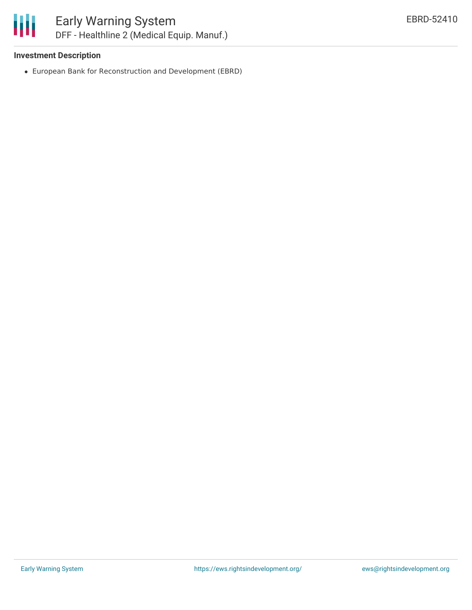

### **Investment Description**

European Bank for Reconstruction and Development (EBRD)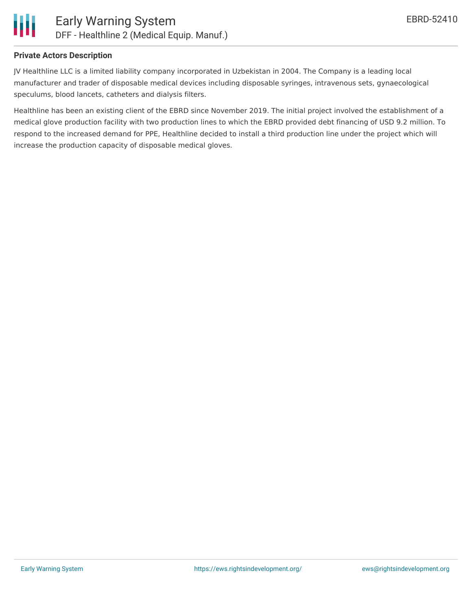

### **Private Actors Description**

JV Healthline LLC is a limited liability company incorporated in Uzbekistan in 2004. The Company is a leading local manufacturer and trader of disposable medical devices including disposable syringes, intravenous sets, gynaecological speculums, blood lancets, catheters and dialysis filters.

Healthline has been an existing client of the EBRD since November 2019. The initial project involved the establishment of a medical glove production facility with two production lines to which the EBRD provided debt financing of USD 9.2 million. To respond to the increased demand for PPE, Healthline decided to install a third production line under the project which will increase the production capacity of disposable medical gloves.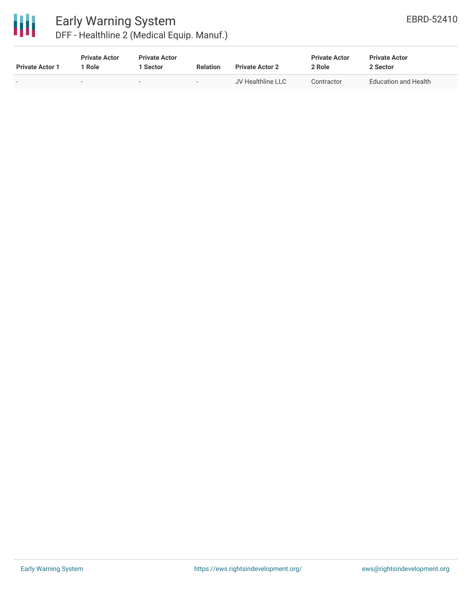

| <b>Private Actor 1</b> | <b>Private Actor</b><br>1 Role | <b>Private Actor</b><br>1 Sector | <b>Relation</b>          | <b>Private Actor 2</b> | <b>Private Actor</b><br>2 Role | <b>Private Actor</b><br>2 Sector |
|------------------------|--------------------------------|----------------------------------|--------------------------|------------------------|--------------------------------|----------------------------------|
|                        | $\sim$                         | . .                              | $\overline{\phantom{0}}$ | JV Healthline LLC      | Contractor                     | Education and Health             |